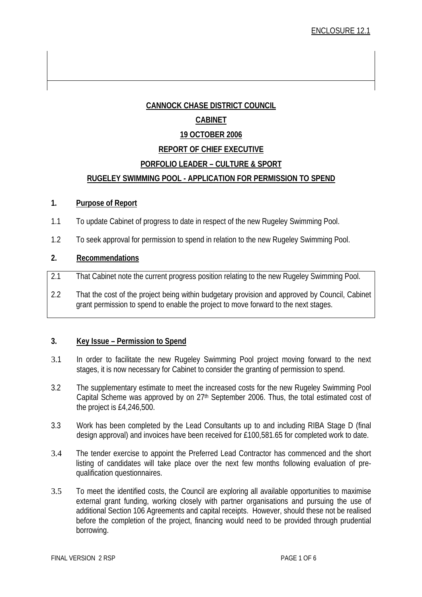# **CANNOCK CHASE DISTRICT COUNCIL CABINET 19 OCTOBER 2006 REPORT OF CHIEF EXECUTIVE PORFOLIO LEADER – CULTURE & SPORT RUGELEY SWIMMING POOL - APPLICATION FOR PERMISSION TO SPEND**

#### **1. Purpose of Report**

- 1.1 To update Cabinet of progress to date in respect of the new Rugeley Swimming Pool.
- 1.2 To seek approval for permission to spend in relation to the new Rugeley Swimming Pool.

#### **2. Recommendations**

- 2.1 That Cabinet note the current progress position relating to the new Rugeley Swimming Pool.
- 2.2 That the cost of the project being within budgetary provision and approved by Council, Cabinet grant permission to spend to enable the project to move forward to the next stages.

#### **3. Key Issue – Permission to Spend**

- 3.1 In order to facilitate the new Rugeley Swimming Pool project moving forward to the next stages, it is now necessary for Cabinet to consider the granting of permission to spend.
- 3.2 The supplementary estimate to meet the increased costs for the new Rugeley Swimming Pool Capital Scheme was approved by on 27<sup>th</sup> September 2006. Thus, the total estimated cost of the project is £4,246,500.
- 3.3 Work has been completed by the Lead Consultants up to and including RIBA Stage D (final design approval) and invoices have been received for £100,581.65 for completed work to date.
- 3.4 The tender exercise to appoint the Preferred Lead Contractor has commenced and the short listing of candidates will take place over the next few months following evaluation of prequalification questionnaires.
- 3.5 To meet the identified costs, the Council are exploring all available opportunities to maximise external grant funding, working closely with partner organisations and pursuing the use of additional Section 106 Agreements and capital receipts. However, should these not be realised before the completion of the project, financing would need to be provided through prudential borrowing.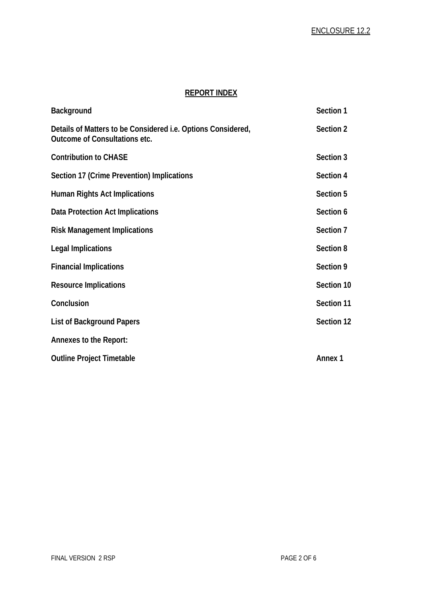# **REPORT INDEX**

| <b>Background</b>                                                                                    | Section 1      |
|------------------------------------------------------------------------------------------------------|----------------|
| Details of Matters to be Considered <i>i.e.</i> Options Considered,<br>Outcome of Consultations etc. | Section 2      |
| <b>Contribution to CHASE</b>                                                                         | Section 3      |
| Section 17 (Crime Prevention) Implications                                                           | Section 4      |
| <b>Human Rights Act Implications</b>                                                                 | Section 5      |
| Data Protection Act Implications                                                                     | Section 6      |
| <b>Risk Management Implications</b>                                                                  | Section 7      |
| <b>Legal Implications</b>                                                                            | Section 8      |
| <b>Financial Implications</b>                                                                        | Section 9      |
| <b>Resource Implications</b>                                                                         | Section 10     |
| Conclusion                                                                                           | Section 11     |
| <b>List of Background Papers</b>                                                                     | Section 12     |
| Annexes to the Report:                                                                               |                |
| <b>Outline Project Timetable</b>                                                                     | <b>Annex 1</b> |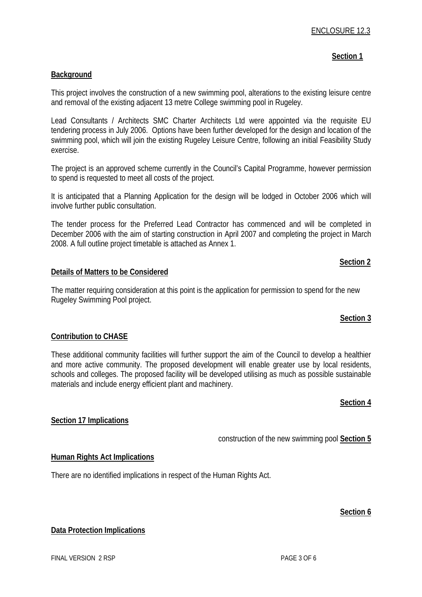#### **Section 1**

#### **Background**

This project involves the construction of a new swimming pool, alterations to the existing leisure centre and removal of the existing adjacent 13 metre College swimming pool in Rugeley.

Lead Consultants / Architects SMC Charter Architects Ltd were appointed via the requisite EU tendering process in July 2006. Options have been further developed for the design and location of the swimming pool, which will join the existing Rugeley Leisure Centre, following an initial Feasibility Study exercise.

The project is an approved scheme currently in the Council's Capital Programme, however permission to spend is requested to meet all costs of the project.

It is anticipated that a Planning Application for the design will be lodged in October 2006 which will involve further public consultation.

The tender process for the Preferred Lead Contractor has commenced and will be completed in December 2006 with the aim of starting construction in April 2007 and completing the project in March 2008. A full outline project timetable is attached as Annex 1.

**Section 2** 

#### **Details of Matters to be Considered**

The matter requiring consideration at this point is the application for permission to spend for the new Rugeley Swimming Pool project.

#### **Section 3**

#### **Contribution to CHASE**

These additional community facilities will further support the aim of the Council to develop a healthier and more active community. The proposed development will enable greater use by local residents, schools and colleges. The proposed facility will be developed utilising as much as possible sustainable materials and include energy efficient plant and machinery.

#### **Section 4**

#### **Section 17 Implications**

construction of the new swimming pool **Section 5**

#### **Human Rights Act Implications**

There are no identified implications in respect of the Human Rights Act.

#### **Section 6**

#### **Data Protection Implications**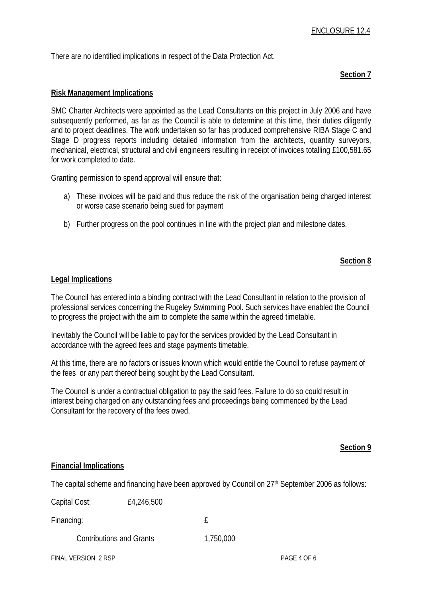There are no identified implications in respect of the Data Protection Act.

#### **Section 7**

#### **Risk Management Implications**

SMC Charter Architects were appointed as the Lead Consultants on this project in July 2006 and have subsequently performed, as far as the Council is able to determine at this time, their duties diligently and to project deadlines. The work undertaken so far has produced comprehensive RIBA Stage C and Stage D progress reports including detailed information from the architects, quantity surveyors, mechanical, electrical, structural and civil engineers resulting in receipt of invoices totalling £100,581.65 for work completed to date.

Granting permission to spend approval will ensure that:

- a) These invoices will be paid and thus reduce the risk of the organisation being charged interest or worse case scenario being sued for payment
- b) Further progress on the pool continues in line with the project plan and milestone dates.

#### **Section 8**

#### **Legal Implications**

The Council has entered into a binding contract with the Lead Consultant in relation to the provision of professional services concerning the Rugeley Swimming Pool. Such services have enabled the Council to progress the project with the aim to complete the same within the agreed timetable.

Inevitably the Council will be liable to pay for the services provided by the Lead Consultant in accordance with the agreed fees and stage payments timetable.

At this time, there are no factors or issues known which would entitle the Council to refuse payment of the fees or any part thereof being sought by the Lead Consultant.

The Council is under a contractual obligation to pay the said fees. Failure to do so could result in interest being charged on any outstanding fees and proceedings being commenced by the Lead Consultant for the recovery of the fees owed.

#### **Section 9**

#### **Financial Implications**

The capital scheme and financing have been approved by Council on 27<sup>th</sup> September 2006 as follows:

Capital Cost: £4,246,500

Financing: the contract of the contract of the contract of the contract of the contract of the contract of the contract of the contract of the contract of the contract of the contract of the contract of the contract of the

Contributions and Grants 1,750,000

FINAL VERSION 2 RSP PAGE 4 OF 6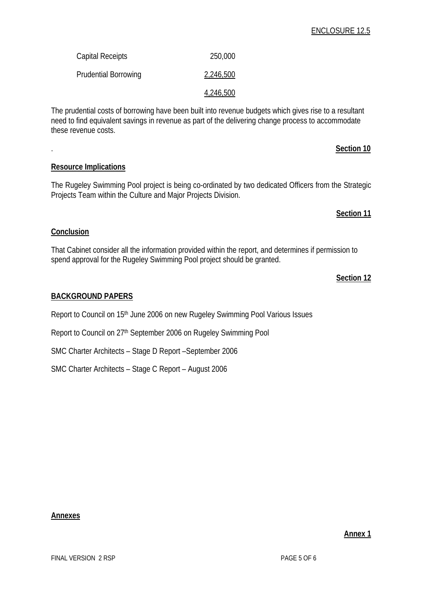# ENCLOSURE 12.5

| Capital Receipts            | 250,000   |
|-----------------------------|-----------|
| <b>Prudential Borrowing</b> | 2,246,500 |
|                             | 4,246,500 |

The prudential costs of borrowing have been built into revenue budgets which gives rise to a resultant need to find equivalent savings in revenue as part of the delivering change process to accommodate these revenue costs.

. **Section 10**

# **Resource Implications**

The Rugeley Swimming Pool project is being co-ordinated by two dedicated Officers from the Strategic Projects Team within the Culture and Major Projects Division.

#### **Section 11**

# **Conclusion**

That Cabinet consider all the information provided within the report, and determines if permission to spend approval for the Rugeley Swimming Pool project should be granted.

#### **Section 12**

# **BACKGROUND PAPERS**

Report to Council on 15<sup>th</sup> June 2006 on new Rugeley Swimming Pool Various Issues

Report to Council on 27th September 2006 on Rugeley Swimming Pool

SMC Charter Architects – Stage D Report –September 2006

SMC Charter Architects – Stage C Report – August 2006

#### **Annex 1**